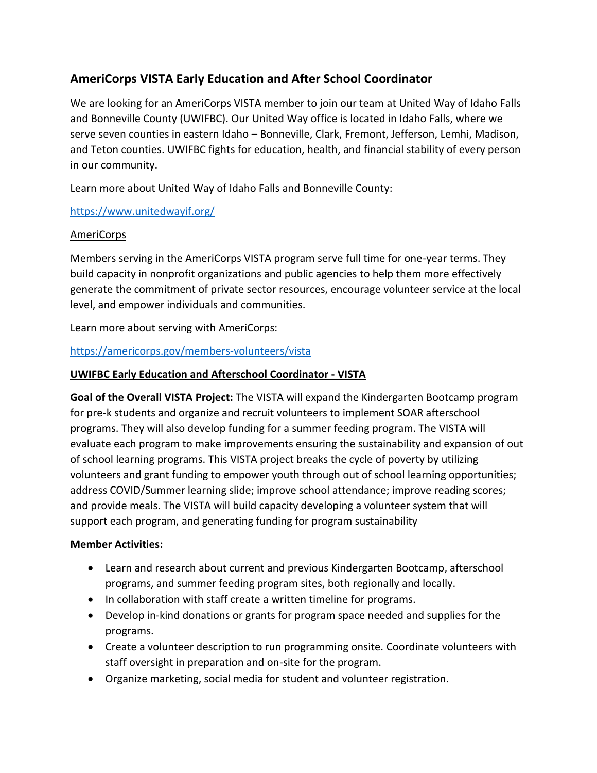# **AmeriCorps VISTA Early Education and After School Coordinator**

We are looking for an AmeriCorps VISTA member to join our team at United Way of Idaho Falls and Bonneville County (UWIFBC). Our United Way office is located in Idaho Falls, where we serve seven counties in eastern Idaho - Bonneville, Clark, Fremont, Jefferson, Lemhi, Madison, and Teton counties. UWIFBC fights for education, health, and financial stability of every person in our community.

Learn more about United Way of Idaho Falls and Bonneville County:

# <https://www.unitedwayif.org/>

# AmeriCorps

Members serving in the AmeriCorps VISTA program serve full time for one-year terms. They build capacity in nonprofit organizations and public agencies to help them more effectively generate the commitment of private sector resources, encourage volunteer service at the local level, and empower individuals and communities.

Learn more about serving with AmeriCorps:

# <https://americorps.gov/members-volunteers/vista>

## **UWIFBC Early Education and Afterschool Coordinator - VISTA**

**Goal of the Overall VISTA Project:** The VISTA will expand the Kindergarten Bootcamp program for pre-k students and organize and recruit volunteers to implement SOAR afterschool programs. They will also develop funding for a summer feeding program. The VISTA will evaluate each program to make improvements ensuring the sustainability and expansion of out of school learning programs. This VISTA project breaks the cycle of poverty by utilizing volunteers and grant funding to empower youth through out of school learning opportunities; address COVID/Summer learning slide; improve school attendance; improve reading scores; and provide meals. The VISTA will build capacity developing a volunteer system that will support each program, and generating funding for program sustainability

#### **Member Activities:**

- Learn and research about current and previous Kindergarten Bootcamp, afterschool programs, and summer feeding program sites, both regionally and locally.
- In collaboration with staff create a written timeline for programs.
- Develop in-kind donations or grants for program space needed and supplies for the programs.
- Create a volunteer description to run programming onsite. Coordinate volunteers with staff oversight in preparation and on-site for the program.
- Organize marketing, social media for student and volunteer registration.